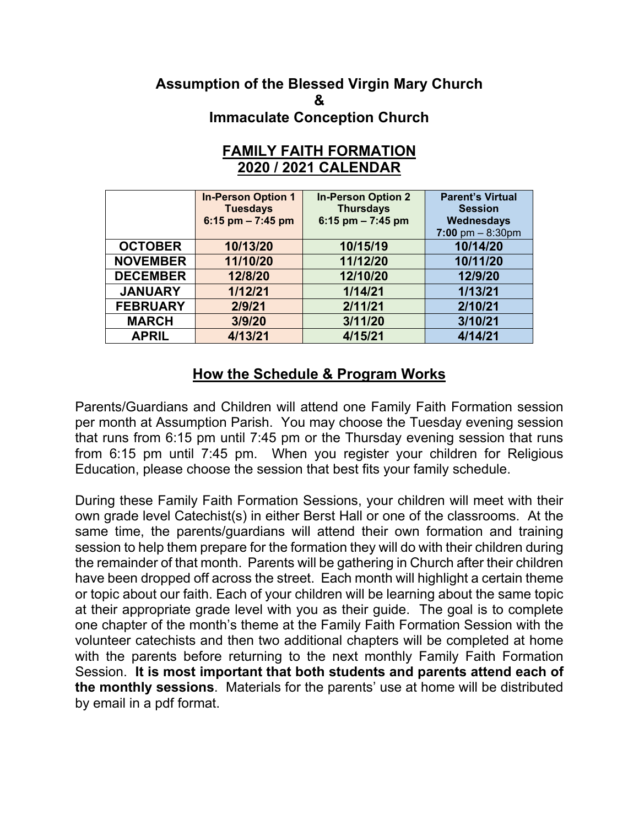## **Assumption of the Blessed Virgin Mary Church & Immaculate Conception Church**

|                 | <b>In-Person Option 1</b><br><b>Tuesdays</b><br>6:15 pm $- 7:45$ pm | <b>In-Person Option 2</b><br><b>Thursdays</b><br>6:15 pm $- 7:45$ pm | <b>Parent's Virtual</b><br><b>Session</b><br>Wednesdays<br>7:00 pm $- 8:30$ pm |
|-----------------|---------------------------------------------------------------------|----------------------------------------------------------------------|--------------------------------------------------------------------------------|
| <b>OCTOBER</b>  | 10/13/20                                                            | 10/15/19                                                             | 10/14/20                                                                       |
| <b>NOVEMBER</b> | 11/10/20                                                            | 11/12/20                                                             | 10/11/20                                                                       |
| <b>DECEMBER</b> | 12/8/20                                                             | 12/10/20                                                             | 12/9/20                                                                        |
| <b>JANUARY</b>  | 1/12/21                                                             | 1/14/21                                                              | 1/13/21                                                                        |
| <b>FEBRUARY</b> | 2/9/21                                                              | 2/11/21                                                              | 2/10/21                                                                        |
| <b>MARCH</b>    | 3/9/20                                                              | 3/11/20                                                              | 3/10/21                                                                        |
| <b>APRIL</b>    | 4/13/21                                                             | 4/15/21                                                              | 4/14/21                                                                        |

## **FAMILY FAITH FORMATION 2020 / 2021 CALENDAR**

## **How the Schedule & Program Works**

Parents/Guardians and Children will attend one Family Faith Formation session per month at Assumption Parish. You may choose the Tuesday evening session that runs from 6:15 pm until 7:45 pm or the Thursday evening session that runs from 6:15 pm until 7:45 pm. When you register your children for Religious Education, please choose the session that best fits your family schedule.

During these Family Faith Formation Sessions, your children will meet with their own grade level Catechist(s) in either Berst Hall or one of the classrooms. At the same time, the parents/guardians will attend their own formation and training session to help them prepare for the formation they will do with their children during the remainder of that month. Parents will be gathering in Church after their children have been dropped off across the street. Each month will highlight a certain theme or topic about our faith. Each of your children will be learning about the same topic at their appropriate grade level with you as their guide. The goal is to complete one chapter of the month's theme at the Family Faith Formation Session with the volunteer catechists and then two additional chapters will be completed at home with the parents before returning to the next monthly Family Faith Formation Session. **It is most important that both students and parents attend each of the monthly sessions**. Materials for the parents' use at home will be distributed by email in a pdf format.